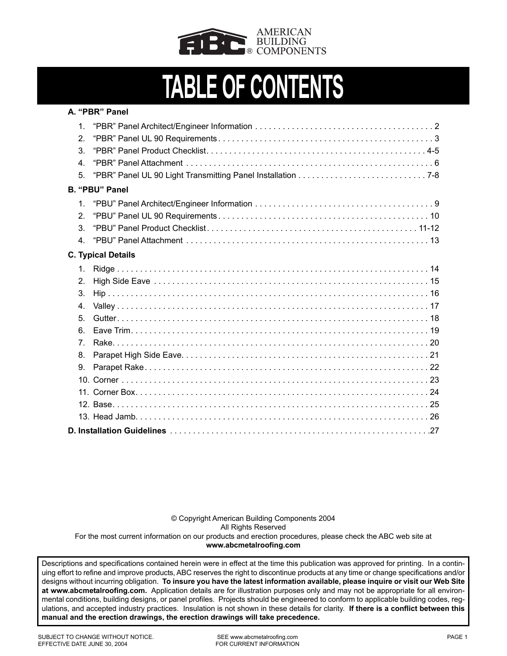

# **TABLE OF CONTENTS**

| A. "PBR" Panel |                           |  |  |  |  |
|----------------|---------------------------|--|--|--|--|
| 1 <sub>1</sub> |                           |  |  |  |  |
| 2 <sub>1</sub> |                           |  |  |  |  |
| 3              |                           |  |  |  |  |
| $\mathbf{4}$   |                           |  |  |  |  |
| 5.             |                           |  |  |  |  |
|                | <b>B. "PBU" Panel</b>     |  |  |  |  |
| $\mathbf{1}$   |                           |  |  |  |  |
| 2 <sub>1</sub> |                           |  |  |  |  |
| 3.             |                           |  |  |  |  |
| 4 <sub>1</sub> |                           |  |  |  |  |
|                | <b>C. Typical Details</b> |  |  |  |  |
| 1.             |                           |  |  |  |  |
| 2.             |                           |  |  |  |  |
| 3.             |                           |  |  |  |  |
| 4 <sub>1</sub> |                           |  |  |  |  |
| 5 <sub>1</sub> |                           |  |  |  |  |
| 6.             |                           |  |  |  |  |
| $7^{\circ}$    |                           |  |  |  |  |
| 8.             |                           |  |  |  |  |
| 9.             |                           |  |  |  |  |
|                |                           |  |  |  |  |
|                |                           |  |  |  |  |
|                |                           |  |  |  |  |
|                |                           |  |  |  |  |
|                |                           |  |  |  |  |

© Copyright American Building Components 2004 All Rights Reserved For the most current information on our products and erection procedures, please check the ABC web site at **www.abcmetalroofing.com**

Descriptions and specifications contained herein were in effect at the time this publication was approved for printing. In a continuing effort to refine and improve products, ABC reserves the right to discontinue products at any time or change specifications and/or designs without incurring obligation. **To insure you have the latest information available, please inquire or visit our Web Site at www.abcmetalroofing.com.** Application details are for illustration purposes only and may not be appropriate for all environmental conditions, building designs, or panel profiles. Projects should be engineered to conform to applicable building codes, regulations, and accepted industry practices. Insulation is not shown in these details for clarity. **If there is a conflict between this manual and the erection drawings, the erection drawings will take precedence.**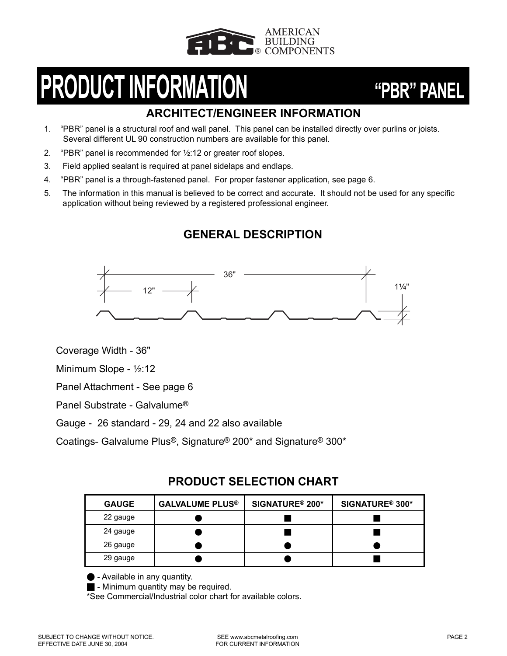

# **PRODUCT INFORMATION "PBR" PANEL**

## **ARCHITECT/ENGINEER INFORMATION**

- 1. "PBR" panel is a structural roof and wall panel. This panel can be installed directly over purlins or joists. Several different UL 90 construction numbers are available for this panel.
- 2. "PBR" panel is recommended for  $\frac{1}{2}$ :12 or greater roof slopes.
- 3. Field applied sealant is required at panel sidelaps and endlaps.
- 4. "PBR" panel is a through-fastened panel. For proper fastener application, see page 6.
- 5. The information in this manual is believed to be correct and accurate. It should not be used for any specific application without being reviewed by a registered professional engineer.

## **GENERAL DESCRIPTION**



Coverage Width - 36"

Minimum Slope - 1⁄2:12

Panel Attachment - See page 6

Panel Substrate - Galvalume®

Gauge - 26 standard - 29, 24 and 22 also available

Coatings- Galvalume Plus®, Signature® 200\* and Signature® 300\*

## **PRODUCT SELECTION CHART**

| <b>GAUGE</b> | <b>GALVALUME PLUS®</b> | SIGNATURE <sup>®</sup> 200* | SIGNATURE <sup>®</sup> 300* |
|--------------|------------------------|-----------------------------|-----------------------------|
| 22 gauge     |                        |                             |                             |
| 24 gauge     |                        |                             |                             |
| 26 gauge     |                        |                             |                             |
| 29 gauge     |                        |                             |                             |

 $\bullet$  - Available in any quantity.

 $\blacksquare$  - Minimum quantity may be required.

\*See Commercial/Industrial color chart for available colors.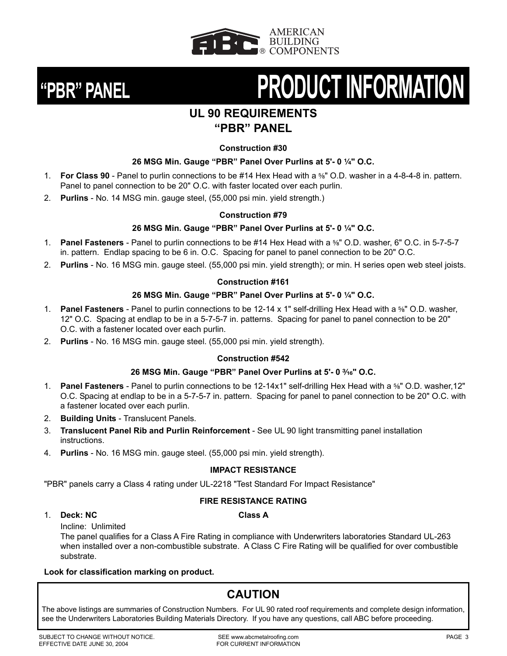



# **"PBR" PANEL PRODUCT INFORMATION**

## **UL 90 REQUIREMENTS**

## **"PBR" PANEL**

## **Construction #30**

## **26 MSG Min. Gauge "PBR" Panel Over Purlins at 5'- 0 1/4" O.C.**

- 1. **For Class 90** Panel to purlin connections to be #14 Hex Head with a <sup>5</sup>/<sub>8</sub><sup>''</sup> O.D. washer in a 4-8-4-8 in. pattern. Panel to panel connection to be 20" O.C. with faster located over each purlin.
- 2. **Purlins** No. 14 MSG min. gauge steel, (55,000 psi min. yield strength.)

## **Construction #79**

## **26 MSG Min. Gauge "PBR" Panel Over Purlins at 5'- 0 1/4" O.C.**

- 1. **Panel Fasteners** Panel to purlin connections to be #14 Hex Head with a <sup>5</sup>%<sup>"</sup> O.D. washer, 6" O.C. in 5-7-5-7 in. pattern. Endlap spacing to be 6 in. O.C. Spacing for panel to panel connection to be 20" O.C.
- 2. **Purlins**  No. 16 MSG min. gauge steel. (55,000 psi min. yield strength); or min. H series open web steel joists.

## **Construction #161**

## **26 MSG Min. Gauge "PBR" Panel Over Purlins at 5'- 0 1/4" O.C.**

- 1. **Panel Fasteners** Panel to purlin connections to be 12-14 x 1" self-drilling Hex Head with a 5<sup>6</sup>″ O.D. washer, 12" O.C. Spacing at endlap to be in a 5-7-5-7 in. patterns. Spacing for panel to panel connection to be 20" O.C. with a fastener located over each purlin.
- 2. **Purlins** No. 16 MSG min. gauge steel. (55,000 psi min. yield strength).

## **Construction #542**

## **26 MSG Min. Gauge "PBR" Panel Over Purlins at 5'- 0 ³⁄₁₆" O.C.**

- 1. **Panel Fasteners** Panel to purlin connections to be 12-14x1" self-drilling Hex Head with a 5<sup>6</sup>″ O.D. washer, 12" O.C. Spacing at endlap to be in a 5-7-5-7 in. pattern. Spacing for panel to panel connection to be 20" O.C. with a fastener located over each purlin.
- 2. **Building Units** Translucent Panels.
- 3. **Translucent Panel Rib and Purlin Reinforcement** See UL 90 light transmitting panel installation instructions.
- 4. **Purlins** No. 16 MSG min. gauge steel. (55,000 psi min. yield strength).

## **IMPACT RESISTANCE**

"PBR" panels carry a Class 4 rating under UL-2218 "Test Standard For Impact Resistance"

## **FIRE RESISTANCE RATING**

## 1. **Deck: NC Class A**

Incline: Unlimited

The panel qualifies for a Class A Fire Rating in compliance with Underwriters laboratories Standard UL-263 when installed over a non-combustible substrate. A Class C Fire Rating will be qualified for over combustible substrate.

## **Look for classification marking on product.**

## **CAUTION**

The above listings are summaries of Construction Numbers. For UL 90 rated roof requirements and complete design information, see the Underwriters Laboratories Building Materials Directory. If you have any questions, call ABC before proceeding.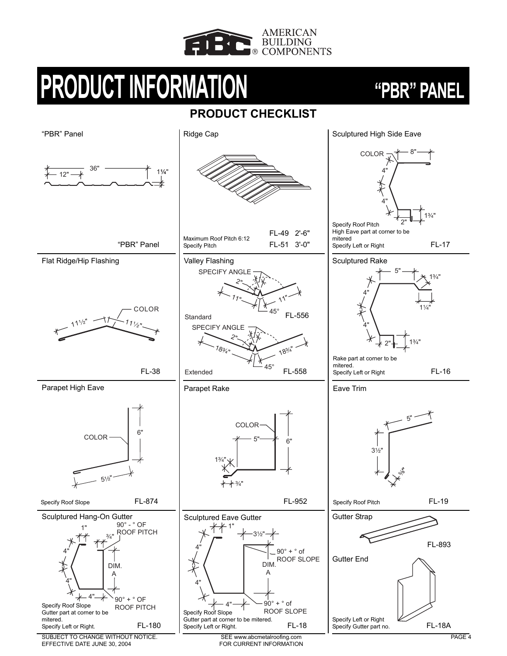

# **PRODUCT INFORMATION "PBR" PANEL**

## **PRODUCT CHECKLIST**



SUBJECT TO CHANGE WITHOUT NOTICE. EFFECTIVE DATE JUNE 30, 2004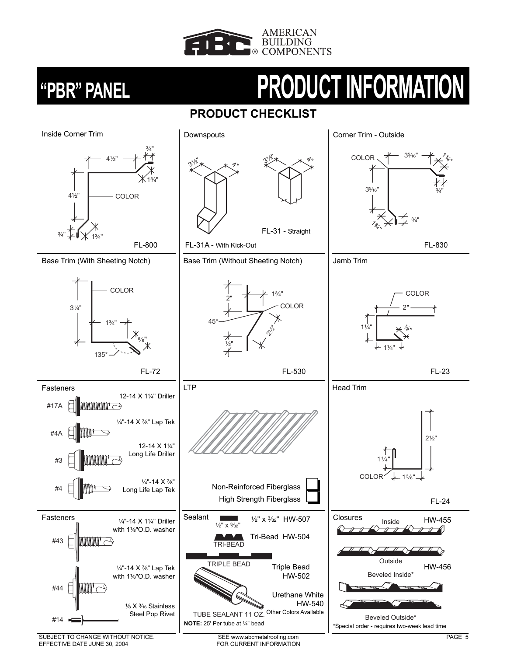![](_page_5_Picture_0.jpeg)

# **"PBR" PANEL PRODUCT INFORMATION**

## **PRODUCT CHECKLIST**

![](_page_5_Figure_4.jpeg)

EFFECTIVE DATE JUNE 30, 2004

FOR CURRENT INFORMATION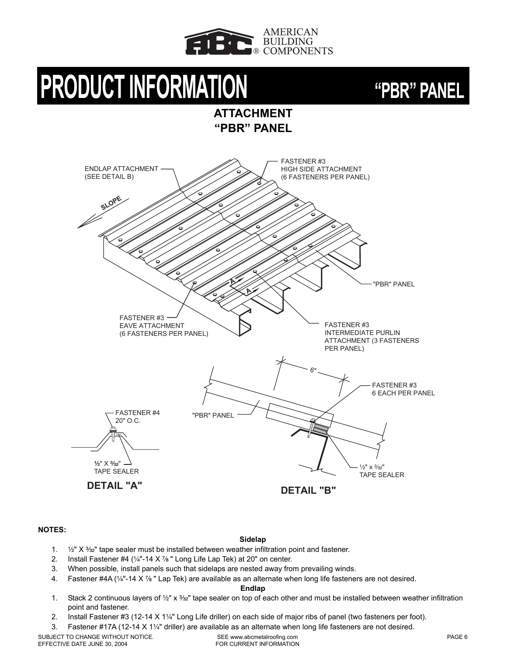![](_page_6_Picture_0.jpeg)

# **PRODUCT INFORMATION "PBR" PANEL**

**ATTACHMENT "PBR" PANEL**

![](_page_6_Figure_4.jpeg)

**NOTES:**

### **Sidelap**

- 1.  $\frac{1}{2}$ " X  $\frac{3}{2}$ " tape sealer must be installed between weather infiltration point and fastener.
- 2. Install Fastener #4 ( $\frac{1}{4}$ "-14 X  $\frac{7}{8}$ " Long Life Lap Tek) at 20" on center.
- 3. When possible, install panels such that sidelaps are nested away from prevailing winds.
- 4. Fastener #4A (1/4"-14 X 7/8" Lap Tek) are available as an alternate when long life fasteners are not desired.

### **Endlap**

- 1. Stack 2 continuous layers of  $\frac{1}{2}$ " x  $\frac{3}{2}$ " tape sealer on top of each other and must be installed between weather infiltration point and fastener.
- 2. Install Fastener #3 (12-14  $X$  1¼" Long Life driller) on each side of major ribs of panel (two fasteners per foot).
- 3. Fastener #17A (12-14 X 1¼" driller) are available as an alternate when long life fasteners are not desired.

SUBJECT TO CHANGE WITHOUT NOTICE. EFFECTIVE DATE JUNE 30, 2004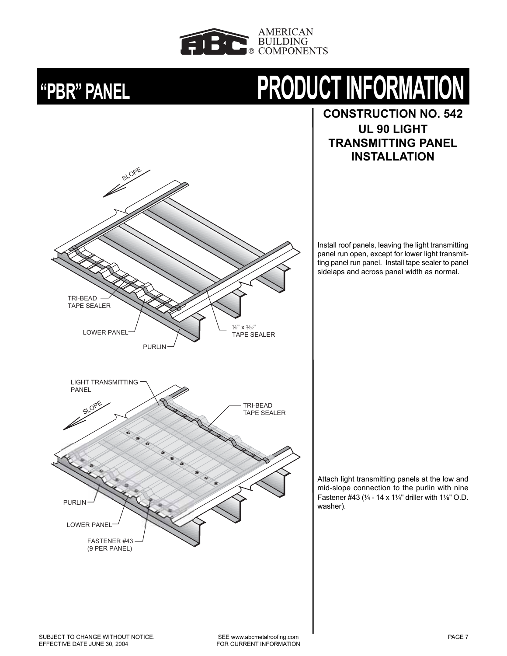![](_page_7_Picture_0.jpeg)

TRI-BEAD TAPE SEALER SLOPE

# **"PBR" PANEL PRODUCT INFORMATION**

**CONSTRUCTION NO. 542 UL 90 LIGHT TRANSMITTING PANEL INSTALLATION**

Install roof panels, leaving the light transmitting panel run open, except for lower light transmitting panel run panel. Install tape sealer to panel sidelaps and across panel width as normal.

![](_page_7_Figure_5.jpeg)

Attach light transmitting panels at the low and mid-slope connection to the purlin with nine Fastener #43 ( $\frac{1}{4}$  - 14 x 1 $\frac{1}{4}$ " driller with 1 $\frac{1}{8}$ " O.D. washer).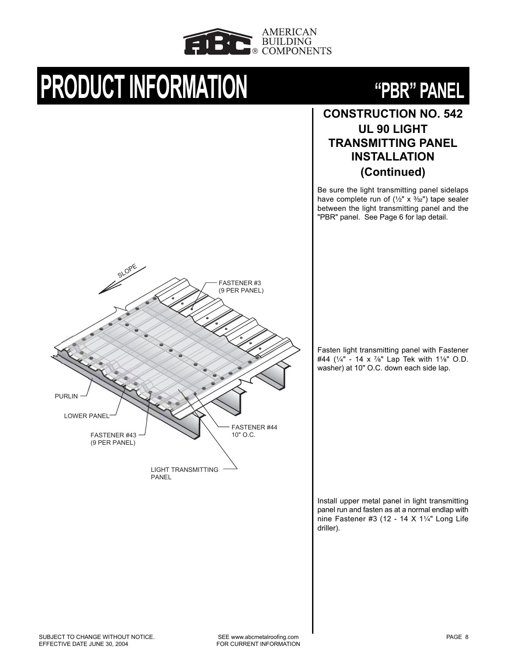![](_page_8_Picture_0.jpeg)

# **PRODUCT INFORMATION "PBR" PANEL**

![](_page_8_Picture_2.jpeg)

## **CONSTRUCTION NO. 542 UL 90 LIGHT TRANSMITTING PANEL INSTALLATION (Continued)**

Be sure the light transmitting panel sidelaps have complete run of  $(\frac{1}{2}x \times \frac{3}{32})$  tape sealer between the light transmitting panel and the "PBR" panel. See Page 6 for lap detail.

![](_page_8_Figure_5.jpeg)

Fasten light transmitting panel with Fastener #44 ( $\frac{1}{4}$ " - 14 x  $\frac{7}{8}$ " Lap Tek with 11/<sub>8</sub>" O.D. washer) at 10" O.C. down each side lap.

Install upper metal panel in light transmitting panel run and fasten as at a normal endlap with nine Fastener #3 (12 - 14  $X$  11/4" Long Life driller).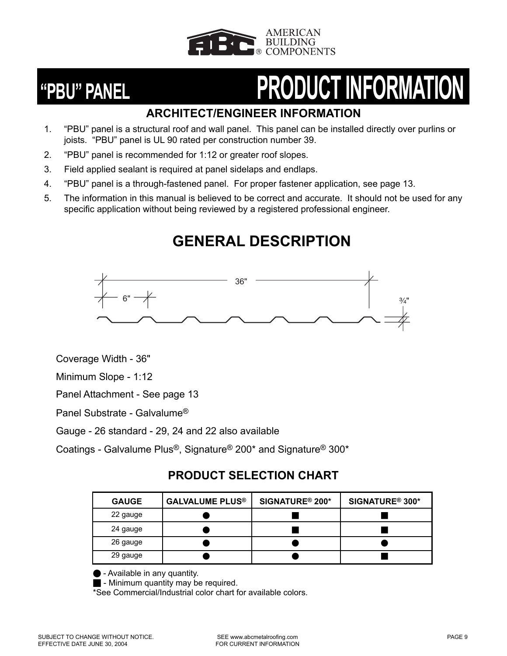![](_page_9_Picture_0.jpeg)

# **"PBU" PANEL PRODUCT INFORMATION**

## **ARCHITECT/ENGINEER INFORMATION**

- 1. "PBU" panel is a structural roof and wall panel. This panel can be installed directly over purlins or joists. "PBU" panel is UL 90 rated per construction number 39.
- 2. "PBU" panel is recommended for 1:12 or greater roof slopes.
- 3. Field applied sealant is required at panel sidelaps and endlaps.
- 4. "PBU" panel is a through-fastened panel. For proper fastener application, see page 13.
- 5. The information in this manual is believed to be correct and accurate. It should not be used for any specific application without being reviewed by a registered professional engineer.

## **GENERAL DESCRIPTION**

![](_page_9_Figure_10.jpeg)

Coverage Width - 36"

Minimum Slope - 1:12

Panel Attachment - See page 13

Panel Substrate - Galvalume®

Gauge - 26 standard - 29, 24 and 22 also available

Coatings - Galvalume Plus®, Signature® 200\* and Signature® 300\*

## **PRODUCT SELECTION CHART**

| <b>GAUGE</b> | <b>GALVALUME PLUS®</b> | SIGNATURE <sup>®</sup> 200* | SIGNATURE <sup>®</sup> 300* |
|--------------|------------------------|-----------------------------|-----------------------------|
| 22 gauge     |                        |                             |                             |
| 24 gauge     |                        |                             |                             |
| 26 gauge     |                        |                             |                             |
| 29 gauge     |                        |                             |                             |

O - Available in any quantity.

 $\blacksquare$  - Minimum quantity may be required.

\*See Commercial/Industrial color chart for available colors.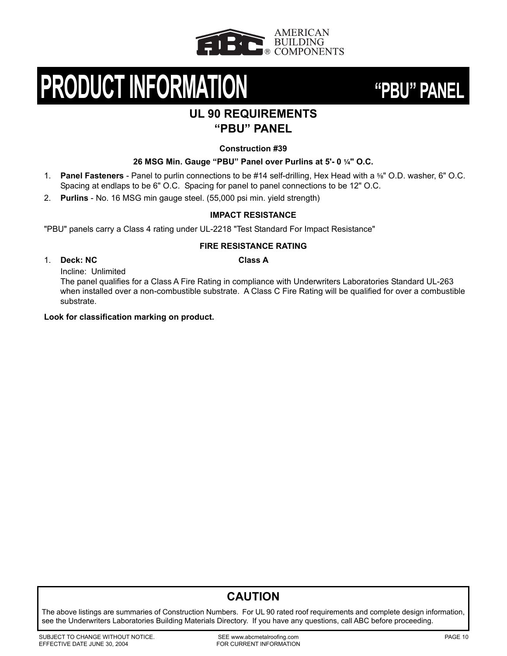![](_page_10_Picture_0.jpeg)

# **PRODUCT INFORMATION "PBU" PANEL**

![](_page_10_Picture_2.jpeg)

## **UL 90 REQUIREMENTS "PBU" PANEL**

### **Construction #39**

## **26 MSG Min. Gauge "PBU" Panel over Purlins at 5'-0 1/4" O.C.**

- 1. **Panel Fasteners** Panel to purlin connections to be #14 self-drilling, Hex Head with a <sup>5</sup>/<sub>8</sub>" O.D. washer, 6" O.C. Spacing at endlaps to be 6" O.C. Spacing for panel to panel connections to be 12" O.C.
- 2. **Purlins**  No. 16 MSG min gauge steel. (55,000 psi min. yield strength)

## **IMPACT RESISTANCE**

"PBU" panels carry a Class 4 rating under UL-2218 "Test Standard For Impact Resistance"

## **FIRE RESISTANCE RATING**

## 1. **Deck: NC Class A**

Incline: Unlimited

The panel qualifies for a Class A Fire Rating in compliance with Underwriters Laboratories Standard UL-263 when installed over a non-combustible substrate. A Class C Fire Rating will be qualified for over a combustible substrate.

### **Look for classification marking on product.**

## **CAUTION**

The above listings are summaries of Construction Numbers. For UL 90 rated roof requirements and complete design information, see the Underwriters Laboratories Building Materials Directory. If you have any questions, call ABC before proceeding.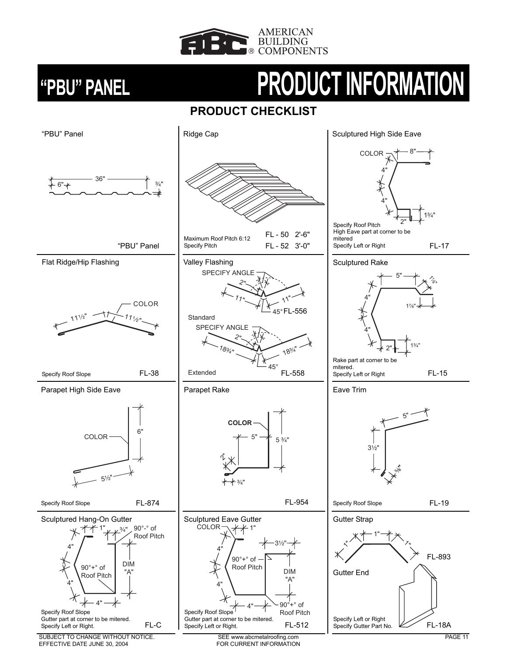![](_page_11_Picture_0.jpeg)

# **"PBU" PANEL PRODUCT INFORMATION**

## **PRODUCT CHECKLIST**

![](_page_11_Figure_4.jpeg)

SUBJECT TO CHANGE WITHOUT NOTICE. EFFECTIVE DATE JUNE 30, 2004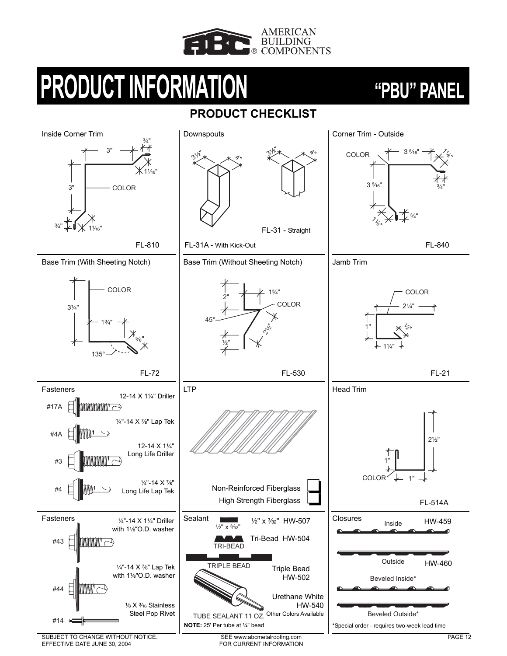![](_page_12_Picture_0.jpeg)

# **PRODUCT INFORMATION "PBU" PANEL**

## **PRODUCT CHECKLIST**

![](_page_12_Figure_4.jpeg)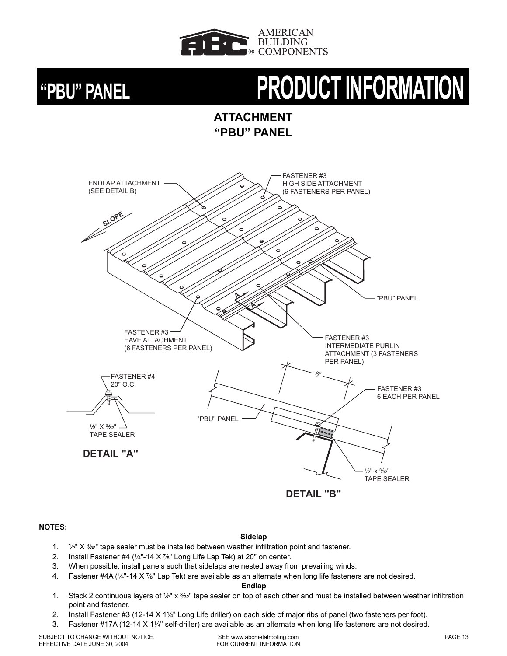![](_page_13_Picture_0.jpeg)

# **"PBU" PANEL PRODUCT INFORMATION**

**ATTACHMENT "PBU" PANEL**

![](_page_13_Figure_4.jpeg)

### **NOTES:**

### **Sidelap**

- 1.  $\frac{1}{2}$ " X  $\frac{3}{2}$ " tape sealer must be installed between weather infiltration point and fastener.
- 2. Install Fastener #4 ( $\frac{1}{4}$ "-14 X  $\frac{7}{8}$ " Long Life Lap Tek) at 20" on center.
- 3. When possible, install panels such that sidelaps are nested away from prevailing winds.
- 4. Fastener #4A ( $\frac{1}{4}$ "-14 X  $\frac{7}{8}$ " Lap Tek) are available as an alternate when long life fasteners are not desired.

### **Endlap**

- 1. Stack 2 continuous layers of  $\frac{1}{2}$ " x  $\frac{3}{2}$ " tape sealer on top of each other and must be installed between weather infiltration point and fastener.
- 2. Install Fastener #3 (12-14  $X$  1 $\frac{1}{4}$ " Long Life driller) on each side of major ribs of panel (two fasteners per foot).
- 3. Fastener #17A (12-14 X 11/4" self-driller) are available as an alternate when long life fasteners are not desired.

SUBJECT TO CHANGE WITHOUT NOTICE. EFFECTIVE DATE JUNE 30, 2004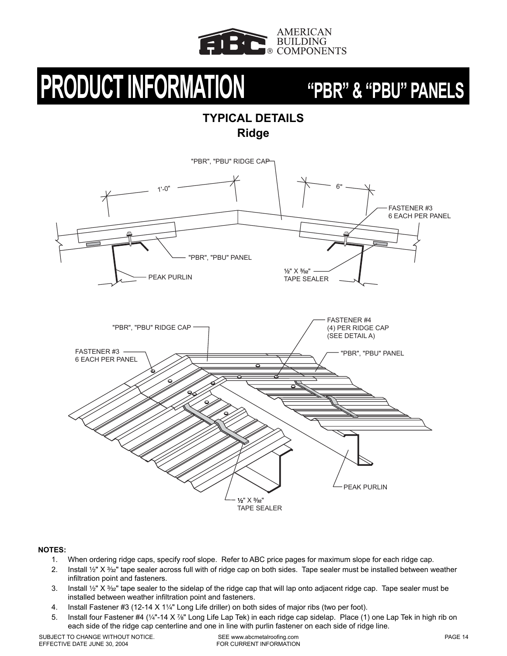![](_page_14_Picture_0.jpeg)

## **TYPICAL DETAILS Ridge**

![](_page_14_Figure_4.jpeg)

### **NOTES:**

- 1. When ordering ridge caps, specify roof slope. Refer to ABC price pages for maximum slope for each ridge cap.
- 2. Install 1/2" X 3/32" tape sealer across full with of ridge cap on both sides. Tape sealer must be installed between weather infiltration point and fasteners.
- 3. Install  $\frac{1}{2}$ " X  $\frac{3}{2}$ " tape sealer to the sidelap of the ridge cap that will lap onto adjacent ridge cap. Tape sealer must be installed between weather infiltration point and fasteners.
- 4. Install Fastener #3 (12-14 X 1¼" Long Life driller) on both sides of major ribs (two per foot).
- 5. Install four Fastener #4 (1/4"-14 X 7/<sub>8</sub>" Long Life Lap Tek) in each ridge cap sidelap. Place (1) one Lap Tek in high rib on each side of the ridge cap centerline and one in line with purlin fastener on each side of ridge line.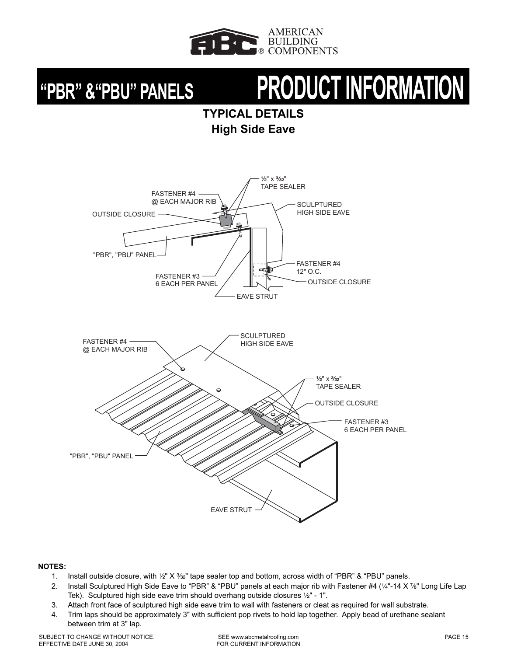![](_page_15_Picture_0.jpeg)

# **"PBR" &"PBU" PANELS PRODUCT INFORMATION**

**TYPICAL DETAILS High Side Eave**

![](_page_15_Figure_4.jpeg)

- 1. Install outside closure, with 1/2" X 3/32" tape sealer top and bottom, across width of "PBR" & "PBU" panels.
- 2. Install Sculptured High Side Eave to "PBR" & "PBU" panels at each major rib with Fastener #4 (1/4"-14 X 7/<sub>8</sub>" Long Life Lap Tek). Sculptured high side eave trim should overhang outside closures 1/2" - 1".
- 3. Attach front face of sculptured high side eave trim to wall with fasteners or cleat as required for wall substrate.
- 4. Trim laps should be approximately 3" with sufficient pop rivets to hold lap together. Apply bead of urethane sealant between trim at 3" lap.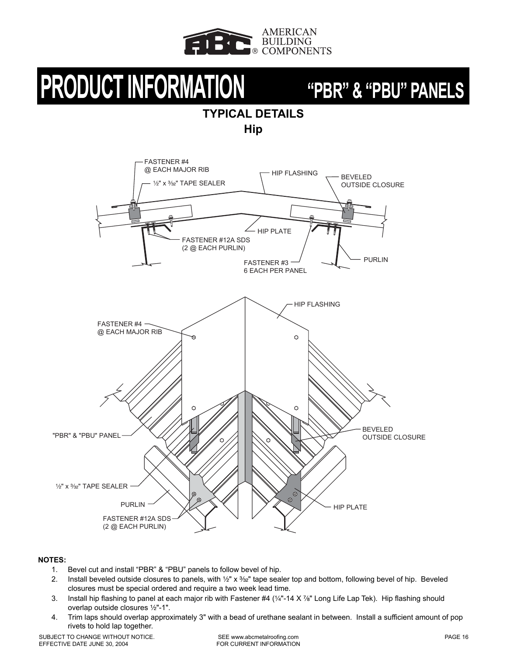![](_page_16_Picture_0.jpeg)

## **TYPICAL DETAILS Hip**

![](_page_16_Figure_4.jpeg)

- 1. Bevel cut and install "PBR" & "PBU" panels to follow bevel of hip.
- 2. Install beveled outside closures to panels, with 1/2" x 3/32" tape sealer top and bottom, following bevel of hip. Beveled closures must be special ordered and require a two week lead time.
- 3. Install hip flashing to panel at each major rib with Fastener #4 ( $\frac{1}{4}$ "-14 X  $\frac{7}{8}$ " Long Life Lap Tek). Hip flashing should overlap outside closures 1/2"-1".
- 4. Trim laps should overlap approximately 3" with a bead of urethane sealant in between. Install a sufficient amount of pop rivets to hold lap together.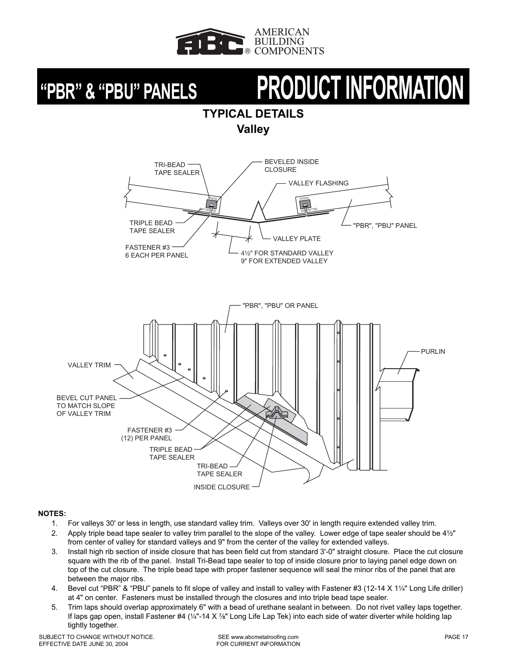![](_page_17_Picture_0.jpeg)

# **"PBR" & "PBU" PANELS PRODUCT INFORMATION**

## **TYPICAL DETAILS**

**Valley**

![](_page_17_Figure_5.jpeg)

- 1. For valleys 30' or less in length, use standard valley trim. Valleys over 30' in length require extended valley trim.
- 2. Apply triple bead tape sealer to valley trim parallel to the slope of the valley. Lower edge of tape sealer should be 41/2" from center of valley for standard valleys and 9" from the center of the valley for extended valleys.
- 3. Install high rib section of inside closure that has been field cut from standard 3'-0" straight closure. Place the cut closure square with the rib of the panel. Install Tri-Bead tape sealer to top of inside closure prior to laying panel edge down on top of the cut closure. The triple bead tape with proper fastener sequence will seal the minor ribs of the panel that are between the major ribs.
- 4. Bevel cut "PBR" & "PBU" panels to fit slope of valley and install to valley with Fastener #3 (12-14 X 1¼" Long Life driller) at 4" on center. Fasteners must be installed through the closures and into triple bead tape sealer.
- 5. Trim laps should overlap approximately 6" with a bead of urethane sealant in between. Do not rivet valley laps together. If laps gap open, install Fastener #4 ( $\frac{1}{4}$ "-14 X  $\frac{7}{8}$ " Long Life Lap Tek) into each side of water diverter while holding lap tightly together.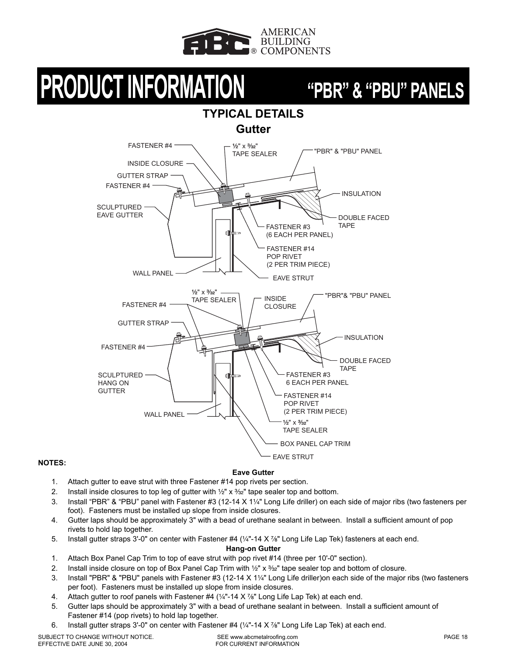![](_page_18_Picture_0.jpeg)

## **TYPICAL DETAILS Gutter**

![](_page_18_Figure_4.jpeg)

### **NOTES:**

### **Eave Gutter**

- 1. Attach gutter to eave strut with three Fastener #14 pop rivets per section.
- 2. Install inside closures to top leg of gutter with  $\frac{1}{2}$ " x  $\frac{3}{2}$ " tape sealer top and bottom.
- 3. Install "PBR" & "PBU" panel with Fastener #3 (12-14 X 1¼" Long Life driller) on each side of major ribs (two fasteners per foot). Fasteners must be installed up slope from inside closures.
- 4. Gutter laps should be approximately 3" with a bead of urethane sealant in between. Install a sufficient amount of pop rivets to hold lap together.
- 5. Install gutter straps 3'-0" on center with Fastener #4  $(\frac{1}{4} 14 \times \frac{7}{8})$ " Long Life Lap Tek) fasteners at each end.

**Hang-on Gutter**

- 1. Attach Box Panel Cap Trim to top of eave strut with pop rivet #14 (three per 10'-0" section).
- 2. Install inside closure on top of Box Panel Cap Trim with  $\frac{1}{2}$ " x  $\frac{3}{2}$ " tape sealer top and bottom of closure.
- 3. Install "PBR" & "PBU" panels with Fastener #3 (12-14 X 11/4" Long Life driller)on each side of the major ribs (two fasteners per foot). Fasteners must be installed up slope from inside closures.
- 4. Attach gutter to roof panels with Fastener  $#4$  ( $\frac{1}{4}$ -14 X  $\frac{7}{8}$ " Long Life Lap Tek) at each end.
- 5. Gutter laps should be approximately 3" with a bead of urethane sealant in between. Install a sufficient amount of Fastener #14 (pop rivets) to hold lap together.
- 6. Install gutter straps 3'-0" on center with Fastener #4  $(1/4"$ -14 X  $\frac{7}{8}$ " Long Life Lap Tek) at each end.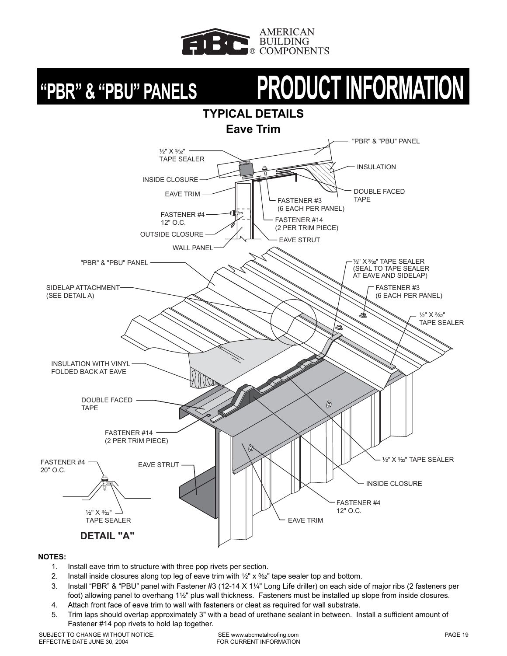![](_page_19_Picture_0.jpeg)

# **"PBR" & "PBU" PANELS PRODUCT INFORMATION**

![](_page_19_Figure_3.jpeg)

- 1. Install eave trim to structure with three pop rivets per section.
- 2. Install inside closures along top leg of eave trim with  $\frac{1}{2}$ " x  $\frac{3}{2}$ " tape sealer top and bottom.
- 3. Install "PBR" & "PBU" panel with Fastener #3 (12-14 X 1¼" Long Life driller) on each side of major ribs (2 fasteners per foot) allowing panel to overhang 1½" plus wall thickness. Fasteners must be installed up slope from inside closures.
- 4. Attach front face of eave trim to wall with fasteners or cleat as required for wall substrate.
- 5. Trim laps should overlap approximately 3" with a bead of urethane sealant in between. Install a sufficient amount of Fastener #14 pop rivets to hold lap together.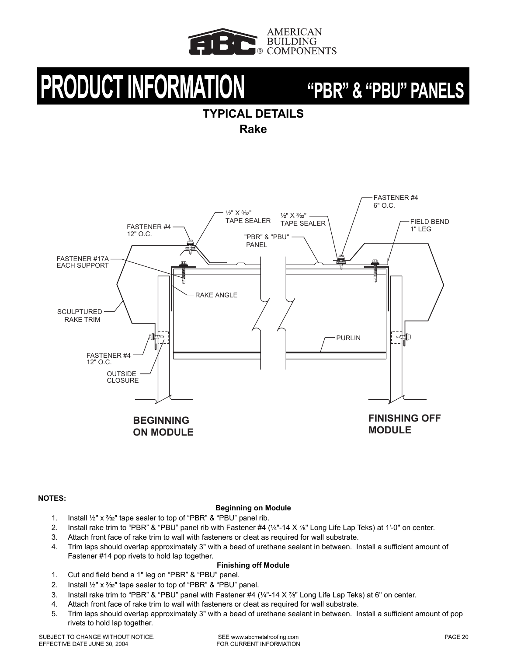![](_page_20_Picture_0.jpeg)

## **TYPICAL DETAILS**

**Rake**

![](_page_20_Figure_5.jpeg)

### **NOTES:**

### **Beginning on Module**

- 1. Install  $\frac{1}{2}$ " x  $\frac{3}{2}$ " tape sealer to top of "PBR" & "PBU" panel rib.
- 2. Install rake trim to "PBR" & "PBU" panel rib with Fastener #4 ( $\frac{1}{4}$ -14 X %" Long Life Lap Teks) at 1'-0" on center.
- 3. Attach front face of rake trim to wall with fasteners or cleat as required for wall substrate.
- 4. Trim laps should overlap approximately 3" with a bead of urethane sealant in between. Install a sufficient amount of Fastener #14 pop rivets to hold lap together.

### **Finishing off Module**

- 1. Cut and field bend a 1" leg on "PBR" & "PBU" panel.
- 2. Install  $\frac{1}{2}$ " x  $\frac{3}{2}$ " tape sealer to top of "PBR" & "PBU" panel.
- 3. Install rake trim to "PBR" & "PBU" panel with Fastener  $#4$  ( $\frac{1}{4}$ "-14 X  $\frac{7}{8}$ " Long Life Lap Teks) at 6" on center.
- 4. Attach front face of rake trim to wall with fasteners or cleat as required for wall substrate.
- 5. Trim laps should overlap approximately 3" with a bead of urethane sealant in between. Install a sufficient amount of pop rivets to hold lap together.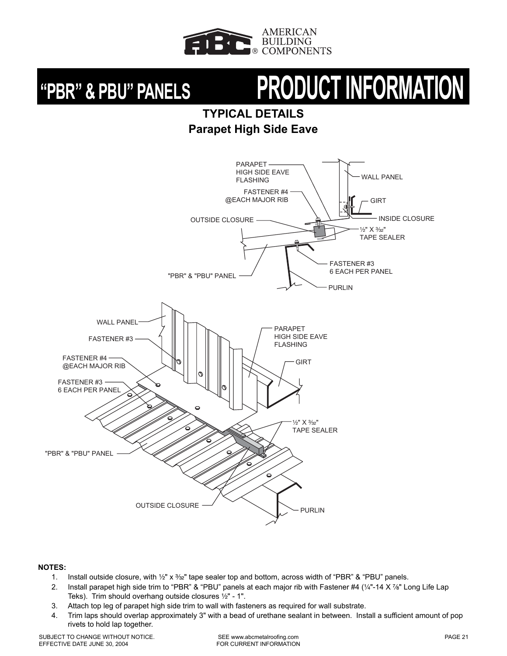![](_page_21_Picture_0.jpeg)

# **"PBR" & PBU" PANELS PRODUCT INFORMATION**

## **TYPICAL DETAILS Parapet High Side Eave**

![](_page_21_Figure_4.jpeg)

- 1. Install outside closure, with 1/2" x 3/32" tape sealer top and bottom, across width of "PBR" & "PBU" panels.
- 2. Install parapet high side trim to "PBR" & "PBU" panels at each major rib with Fastener #4 ( $\frac{1}{4}$ "-14 X  $\frac{7}{8}$ " Long Life Lap Teks). Trim should overhang outside closures 1/2" - 1".
- 3. Attach top leg of parapet high side trim to wall with fasteners as required for wall substrate.
- 4. Trim laps should overlap approximately 3" with a bead of urethane sealant in between. Install a sufficient amount of pop rivets to hold lap together.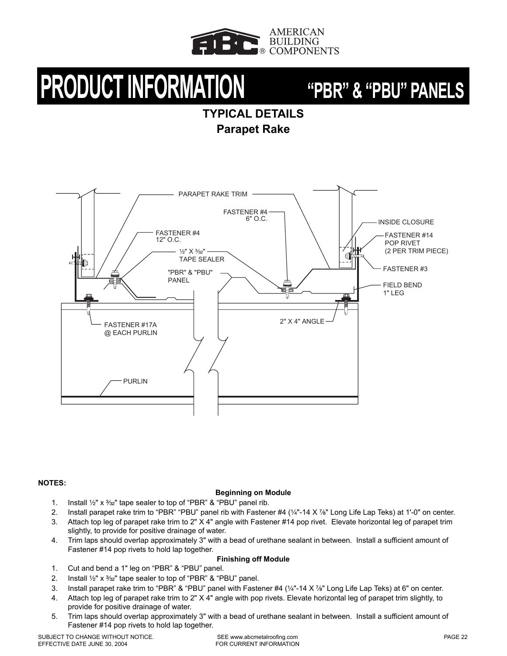![](_page_22_Picture_0.jpeg)

## **TYPICAL DETAILS Parapet Rake**

![](_page_22_Figure_4.jpeg)

### **NOTES:**

### **Beginning on Module**

- 1. Install  $\frac{1}{2}$ " x  $\frac{3}{2}$ " tape sealer to top of "PBR" & "PBU" panel rib.
- 2. Install parapet rake trim to "PBR" "PBU" panel rib with Fastener #4 ( $\frac{1}{4}$ -14 X  $\frac{7}{8}$ " Long Life Lap Teks) at 1'-0" on center.
- 3. Attach top leg of parapet rake trim to 2" X 4" angle with Fastener #14 pop rivet. Elevate horizontal leg of parapet trim slightly, to provide for positive drainage of water.
- 4. Trim laps should overlap approximately 3" with a bead of urethane sealant in between. Install a sufficient amount of Fastener #14 pop rivets to hold lap together.

### **Finishing off Module**

- 1. Cut and bend a 1" leg on "PBR" & "PBU" panel.
- 2. Install  $\frac{1}{2}$ " x  $\frac{3}{2}$ " tape sealer to top of "PBR" & "PBU" panel.
- 3. Install parapet rake trim to "PBR" & "PBU" panel with Fastener #4  $\frac{1}{4}$ -14 X  $\frac{7}{8}$ " Long Life Lap Teks) at 6" on center.
- 4. Attach top leg of parapet rake trim to 2" X 4" angle with pop rivets. Elevate horizontal leg of parapet trim slightly, to provide for positive drainage of water.
- 5. Trim laps should overlap approximately 3" with a bead of urethane sealant in between. Install a sufficient amount of Fastener #14 pop rivets to hold lap together.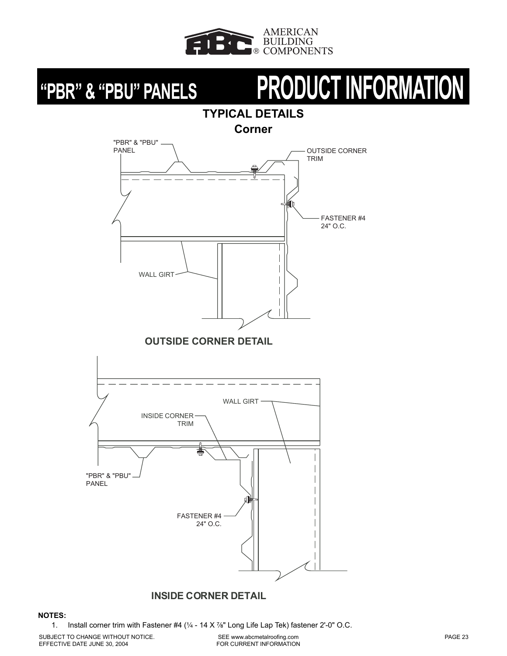![](_page_23_Picture_0.jpeg)

# **"PBR" & "PBU" PANELS PRODUCT INFORMATION**

## **TYPICAL DETAILS Corner**

![](_page_23_Figure_4.jpeg)

## **INSIDE CORNER DETAIL**

### **NOTES:**

1. Install corner trim with Fastener  $#4$  ( $\frac{1}{4}$  - 14 X $\frac{7}{8}$ " Long Life Lap Tek) fastener 2'-0" O.C.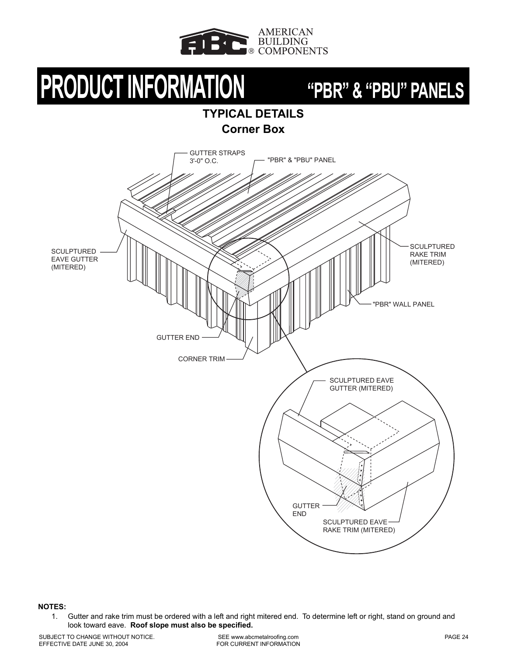![](_page_24_Picture_0.jpeg)

## **TYPICAL DETAILS Corner Box**

![](_page_24_Figure_4.jpeg)

**NOTES:**

1. Gutter and rake trim must be ordered with a left and right mitered end. To determine left or right, stand on ground and look toward eave. **Roof slope must also be specified.**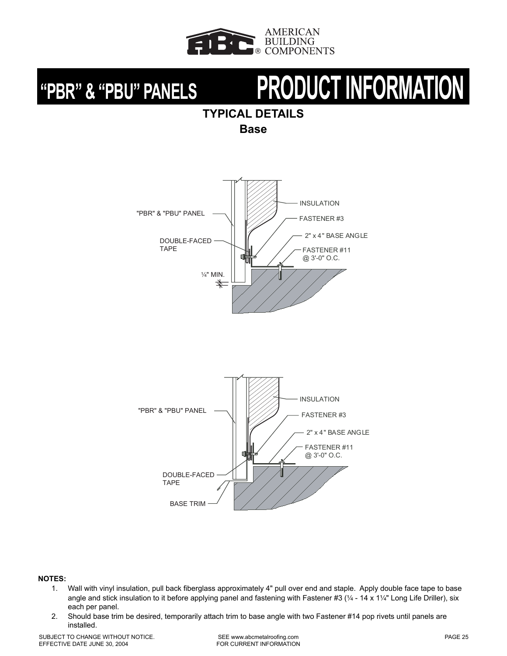![](_page_25_Picture_0.jpeg)

# **"PBR" & "PBU" PANELS PRODUCT INFORMATION**

## **TYPICAL DETAILS**

**Base**

![](_page_25_Figure_5.jpeg)

![](_page_25_Figure_6.jpeg)

- 1. Wall with vinyl insulation, pull back fiberglass approximately 4" pull over end and staple. Apply double face tape to base angle and stick insulation to it before applying panel and fastening with Fastener #3 ( $\frac{1}{4}$  - 14 x 1 $\frac{1}{4}$ " Long Life Driller), six each per panel.
- 2. Should base trim be desired, temporarily attach trim to base angle with two Fastener #14 pop rivets until panels are installed.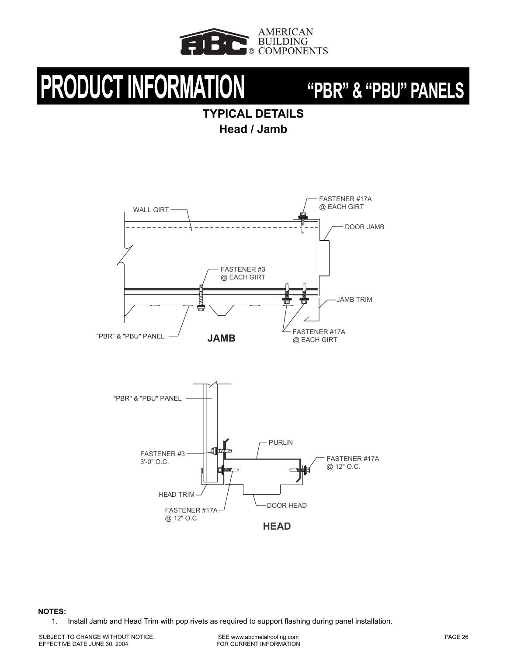![](_page_26_Picture_0.jpeg)

## **TYPICAL DETAILS Head / Jamb**

![](_page_26_Figure_4.jpeg)

![](_page_26_Figure_5.jpeg)

### **NOTES:**

1. Install Jamb and Head Trim with pop rivets as required to support flashing during panel installation.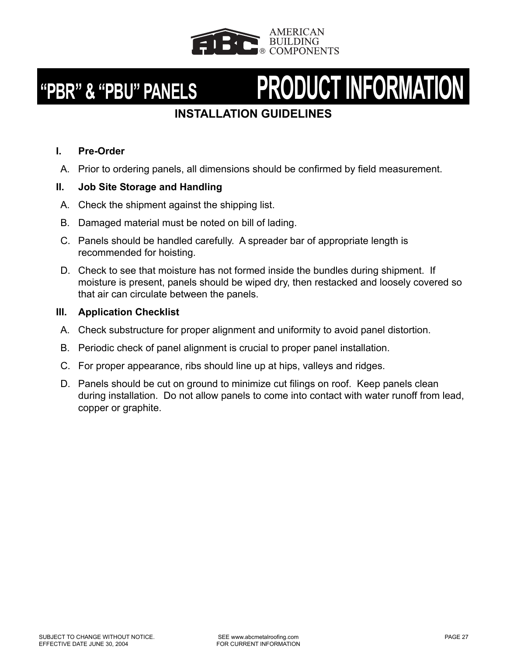![](_page_27_Picture_0.jpeg)

# **"PBR" & "PBU" PANELS PRODUCT INFORMATION**

## **INSTALLATION GUIDELINES**

## **I. Pre-Order**

A. Prior to ordering panels, all dimensions should be confirmed by field measurement.

## **II. Job Site Storage and Handling**

- A. Check the shipment against the shipping list.
- B. Damaged material must be noted on bill of lading.
- C. Panels should be handled carefully. A spreader bar of appropriate length is recommended for hoisting.
- D. Check to see that moisture has not formed inside the bundles during shipment. If moisture is present, panels should be wiped dry, then restacked and loosely covered so that air can circulate between the panels.

## **III. Application Checklist**

- A. Check substructure for proper alignment and uniformity to avoid panel distortion.
- B. Periodic check of panel alignment is crucial to proper panel installation.
- C. For proper appearance, ribs should line up at hips, valleys and ridges.
- D. Panels should be cut on ground to minimize cut filings on roof. Keep panels clean during installation. Do not allow panels to come into contact with water runoff from lead, copper or graphite.